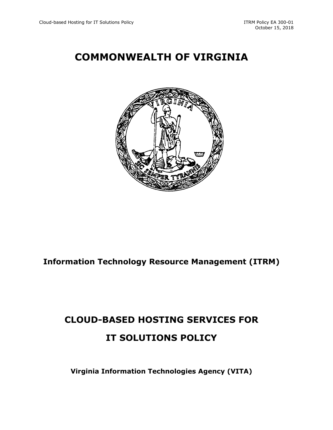## **COMMONWEALTH OF VIRGINIA**



### **Information Technology Resource Management (ITRM)**

# **CLOUD-BASED HOSTING SERVICES FOR IT SOLUTIONS POLICY**

**Virginia Information Technologies Agency (VITA)**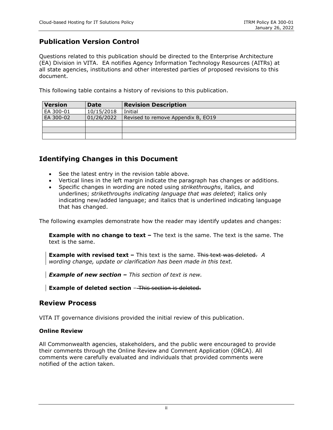### **Publication Version Control**

Questions related to this publication should be directed to the Enterprise Architecture (EA) Division in VITA. EA notifies Agency Information Technology Resources (AITRs) at all state agencies, institutions and other interested parties of proposed revisions to this document.

This following table contains a history of revisions to this publication.

| <b>Version</b> | <b>Date</b> | <b>Revision Description</b>        |  |  |
|----------------|-------------|------------------------------------|--|--|
| EA 300-01      | 10/15/2018  | Initial                            |  |  |
| EA 300-02      | 01/26/2022  | Revised to remove Appendix B, EO19 |  |  |
|                |             |                                    |  |  |
|                |             |                                    |  |  |
|                |             |                                    |  |  |

### **Identifying Changes in this Document**

- See the latest entry in the revision table above.
- Vertical lines in the left margin indicate the paragraph has changes or additions.
- Specific changes in wording are noted using *strikethroughs*, italics, and underlines; *strikethroughs indicating language that was deleted*; italics only indicating new/added language; and italics that is underlined indicating language that has changed.

The following examples demonstrate how the reader may identify updates and changes:

**Example with no change to text –** The text is the same. The text is the same. The text is the same.

**Example with revised text –** This text is the same. This text was deleted. A *wording change, update or clarification has been made in this text.* 

*Example of new section – This section of text is new.*

**Example of deleted section** - This section is deleted.

#### **Review Process**

VITA IT governance divisions provided the initial review of this publication.

#### **Online Review**

All Commonwealth agencies, stakeholders, and the public were encouraged to provide their comments through the Online Review and Comment Application (ORCA). All comments were carefully evaluated and individuals that provided comments were notified of the action taken.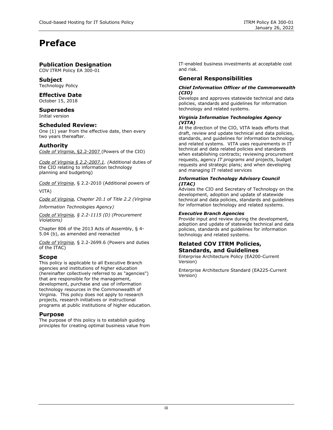### **Preface**

#### **Publication Designation**

COV ITRM Policy EA 300-01

#### **Subject**

Technology Policy

#### **Effective Date**

October 15, 2018

#### **Supersedes**

Initial version

#### **Scheduled Review:**

One (1) year from the effective date, then every two years thereafter.

#### **Authority**

*Code of Virginia*, §2.2-2007 (Powers of the CIO)

*Code of Virginia § 2.2-2007.1. (*Additional duties of the CIO relating to information technology planning and budgeting)

*Code of Virginia*, § 2.2-2010 (Additional powers of VITA)

*Code of Virginia, Chapter 20.1 of Title 2.2 (Virginia* 

*Information Technologies Agency)*

*Code of Virginia, § 2.2-1115 (D) (Procurement Violations)*

Chapter 806 of the 2013 Acts of Assembly, § 4- 5.04 (b), as amended and reenacted

*Code of Virginia,* § 2.2-2699.6 (Powers and duties of the ITAC)

#### **Scope**

This policy is applicable to all Executive Branch agencies and institutions of higher education (hereinafter collectively referred to as "agencies") that are responsible for the management, development, purchase and use of information technology resources in the Commonwealth of Virginia. This policy does not apply to research projects, research initiatives or instructional programs at public institutions of higher education.

#### **Purpose**

The purpose of this policy is to establish guiding principles for creating optimal business value from IT-enabled business investments at acceptable cost and risk.

#### **General Responsibilities**

#### *Chief Information Officer of the Commonwealth (CIO)*

Develops and approves statewide technical and data policies, standards and guidelines for information technology and related systems.

#### *Virginia Information Technologies Agency (VITA)*

At the direction of the CIO, VITA leads efforts that draft, review and update technical and data policies, standards, and guidelines for information technology and related systems. VITA uses requirements in IT technical and data related policies and standards when establishing contracts; reviewing procurement requests, agency *IT programs and* projects, budget requests and strategic plans; and when developing and managing IT related services

#### *Information Technology Advisory Council (ITAC)*

Advises the CIO and Secretary of Technology on the development, adoption and update of statewide technical and data policies, standards and guidelines for information technology and related systems.

#### *Executive Branch Agencies*

Provide input and review during the development, adoption and update of statewide technical and data policies, standards and guidelines for information technology and related systems.

#### **Related COV ITRM Policies, Standards, and Guidelines**

Enterprise Architecture Policy (EA200-Current Version)

Enterprise Architecture Standard (EA225-Current Version)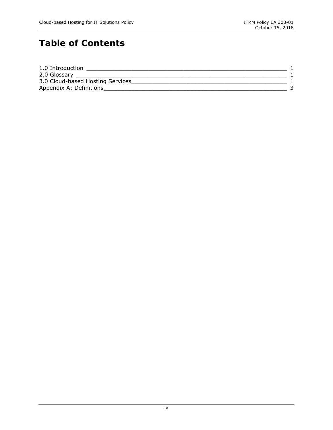## **Table of Contents**

| 1.0 Introduction                 |  |
|----------------------------------|--|
| 2.0 Glossary                     |  |
| 3.0 Cloud-based Hosting Services |  |
| Appendix A: Definitions          |  |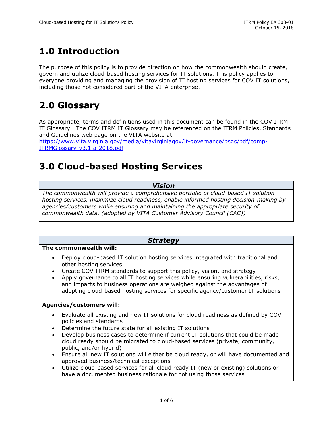## <span id="page-4-0"></span>**1.0 Introduction**

The purpose of this policy is to provide direction on how the commonwealth should create, govern and utilize cloud-based hosting services for IT solutions. This policy applies to everyone providing and managing the provision of IT hosting services for COV IT solutions, including those not considered part of the VITA enterprise.

## <span id="page-4-1"></span>**2.0 Glossary**

As appropriate, terms and definitions used in this document can be found in the COV ITRM IT Glossary. The COV ITRM IT Glossary may be referenced on the ITRM Policies, Standards and Guidelines web page on the VITA website at.

https://www.vita.virginia.gov/media/vitavirginiagov/it-governance/psgs/pdf/comp-ITRMGlossary-v3.1.a-2018.pdf

### <span id="page-4-2"></span>**3.0 Cloud-based Hosting Services**

#### *Vision*

*The commonwealth will provide a comprehensive portfolio of cloud-based IT solution hosting services, maximize cloud readiness, enable informed hosting decision-making by agencies/customers while ensuring and maintaining the appropriate security of commonwealth data. (adopted by VITA Customer Advisory Council (CAC))*

### *Strategy*

#### **The commonwealth will:**

- Deploy cloud-based IT solution hosting services integrated with traditional and other hosting services
- Create COV ITRM standards to support this policy, vision, and strategy
- Apply governance to all IT hosting services while ensuring vulnerabilities, risks, and impacts to business operations are weighed against the advantages of adopting cloud-based hosting services for specific agency/customer IT solutions

#### **Agencies/customers will:**

- Evaluate all existing and new IT solutions for cloud readiness as defined by COV policies and standards
- Determine the future state for all existing IT solutions
- Develop business cases to determine if current IT solutions that could be made cloud ready should be migrated to cloud-based services (private, community, public, and/or hybrid)
- Ensure all new IT solutions will either be cloud ready, or will have documented and approved business/technical exceptions
- Utilize cloud-based services for all cloud ready IT (new or existing) solutions or have a documented business rationale for not using those services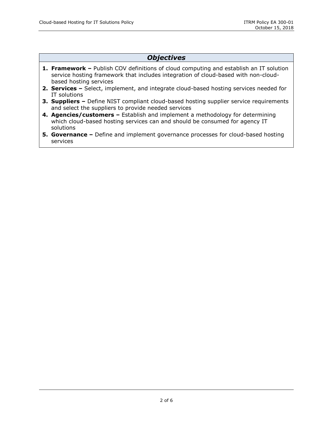#### *Objectives*

- **1. Framework –** Publish COV definitions of cloud computing and establish an IT solution service hosting framework that includes integration of cloud-based with non-cloudbased hosting services
- **2. Services –** Select, implement, and integrate cloud-based hosting services needed for IT solutions
- **3. Suppliers –** Define NIST compliant cloud-based hosting supplier service requirements and select the suppliers to provide needed services
- **4. Agencies/customers –** Establish and implement a methodology for determining which cloud-based hosting services can and should be consumed for agency IT solutions
- **5. Governance –** Define and implement governance processes for cloud-based hosting services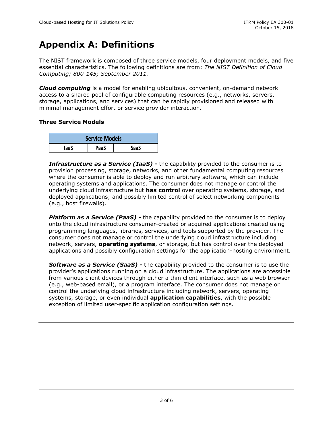### <span id="page-6-0"></span>**Appendix A: Definitions**

The NIST framework is composed of three service models, four deployment models, and five essential characteristics. The following definitions are from: *The NIST Definition of Cloud Computing; 800-145; September 2011.*

*Cloud computing* is a model for enabling ubiquitous, convenient, on-demand network access to a shared pool of configurable computing resources (e.g., networks, servers, storage, applications, and services) that can be rapidly provisioned and released with minimal management effort or service provider interaction.

#### **Three Service Models**

| <b>Service Models</b> |      |      |  |  |
|-----------------------|------|------|--|--|
| laaS                  | PaaS | SaaS |  |  |

*Infrastructure as a Service (IaaS) -* the capability provided to the consumer is to provision processing, storage, networks, and other fundamental computing resources where the consumer is able to deploy and run arbitrary software, which can include operating systems and applications. The consumer does not manage or control the underlying cloud infrastructure but **has control** over operating systems, storage, and deployed applications; and possibly limited control of select networking components (e.g., host firewalls).

*Platform as a Service (PaaS)* **-** the capability provided to the consumer is to deploy onto the cloud infrastructure consumer-created or acquired applications created using programming languages, libraries, services, and tools supported by the provider. The consumer does not manage or control the underlying cloud infrastructure including network, servers, **operating systems**, or storage, but has control over the deployed applications and possibly configuration settings for the application-hosting environment.

*Software as a Service (SaaS) -* the capability provided to the consumer is to use the provider's applications running on a cloud infrastructure. The applications are accessible from various client devices through either a thin client interface, such as a web browser (e.g., web-based email), or a program interface. The consumer does not manage or control the underlying cloud infrastructure including network, servers, operating systems, storage, or even individual **application capabilities**, with the possible exception of limited user-specific application configuration settings.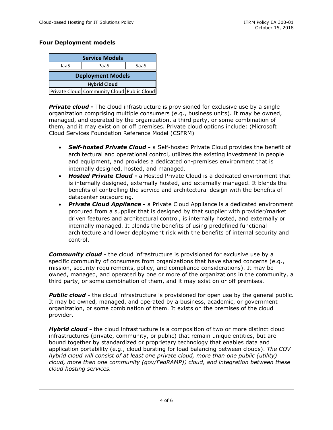#### **Four Deployment models**

| <b>Service Models</b>    |                                            |      |  |  |  |
|--------------------------|--------------------------------------------|------|--|--|--|
| laaS                     | PaaS                                       | SaaS |  |  |  |
| <b>Deployment Models</b> |                                            |      |  |  |  |
| <b>Hybrid Cloud</b>      |                                            |      |  |  |  |
|                          | Private Cloud Community Cloud Public Cloud |      |  |  |  |

**Private cloud -** The cloud infrastructure is provisioned for exclusive use by a single organization comprising multiple consumers (e.g., business units). It may be owned, managed, and operated by the organization, a third party, or some combination of them, and it may exist on or off premises. Private cloud options include: (Microsoft Cloud Services Foundation Reference Model (CSFRM)

- *Self-hosted Private Cloud -* a Self-hosted Private Cloud provides the benefit of architectural and operational control, utilizes the existing investment in people and equipment, and provides a dedicated on-premises environment that is internally designed, hosted, and managed.
- *Hosted Private Cloud* **-** a Hosted Private Cloud is a dedicated environment that is internally designed, externally hosted, and externally managed. It blends the benefits of controlling the service and architectural design with the benefits of datacenter outsourcing.
- *Private Cloud Appliance -* a Private Cloud Appliance is a dedicated environment procured from a supplier that is designed by that supplier with provider/market driven features and architectural control, is internally hosted, and externally or internally managed. It blends the benefits of using predefined functional architecture and lower deployment risk with the benefits of internal security and control.

*Community cloud -* the cloud infrastructure is provisioned for exclusive use by a specific community of consumers from organizations that have shared concerns (e.g., mission, security requirements, policy, and compliance considerations). It may be owned, managed, and operated by one or more of the organizations in the community, a third party, or some combination of them, and it may exist on or off premises.

**Public cloud -** the cloud infrastructure is provisioned for open use by the general public. It may be owned, managed, and operated by a business, academic, or government organization, or some combination of them. It exists on the premises of the cloud provider.

*Hybrid cloud* **-** the cloud infrastructure is a composition of two or more distinct cloud infrastructures (private, community, or public) that remain unique entities, but are bound together by standardized or proprietary technology that enables data and application portability (e.g., cloud bursting for load balancing between clouds). *The COV hybrid cloud will consist of at least one private cloud, more than one public (utility) cloud, more than one community (gov/FedRAMP)) cloud, and integration between these cloud hosting services.*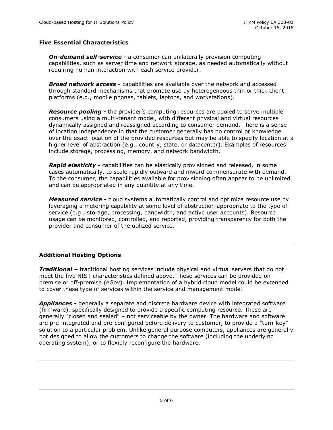#### **Five Essential Characteristics**

*On-demand self-service -* a consumer can unilaterally provision computing capabilities, such as server time and network storage, as needed automatically without requiring human interaction with each service provider.

*Broad network access -* capabilities are available over the network and accessed through standard mechanisms that promote use by heterogeneous thin or thick client platforms (e.g., mobile phones, tablets, laptops, and workstations).

*Resource pooling -* the provider's computing resources are pooled to serve multiple consumers using a multi-tenant model, with different physical and virtual resources dynamically assigned and reassigned according to consumer demand. There is a sense of location independence in that the customer generally has no control or knowledge over the exact location of the provided resources but may be able to specify location at a higher level of abstraction (e.g., country, state, or datacenter). Examples of resources include storage, processing, memory, and network bandwidth.

*Rapid elasticity -* capabilities can be elastically provisioned and released, in some cases automatically, to scale rapidly outward and inward commensurate with demand. To the consumer, the capabilities available for provisioning often appear to be unlimited and can be appropriated in any quantity at any time.

*Measured service -* cloud systems automatically control and optimize resource use by leveraging a metering capability at some level of abstraction appropriate to the type of service (e.g., storage, processing, bandwidth, and active user accounts). Resource usage can be monitored, controlled, and reported, providing transparency for both the provider and consumer of the utilized service.

#### **Additional Hosting Options**

*Traditional –* traditional hosting services include physical and virtual servers that do not meet the five NIST characteristics defined above. These services can be provided onpremise or off-premise (eGov). Implementation of a hybrid cloud model could be extended to cover these type of services within the service and management model.

*Appliances -* generally a separate and discrete hardware device with integrated software (firmware), specifically designed to provide a specific computing resource. These are generally "closed and sealed" – not serviceable by the owner. The hardware and software are pre-integrated and pre-configured before delivery to customer, to provide a "turn-key" solution to a particular problem. Unlike general purpose computers, appliances are generally not designed to allow the customers to change the software (including the underlying operating system), or to flexibly reconfigure the hardware.